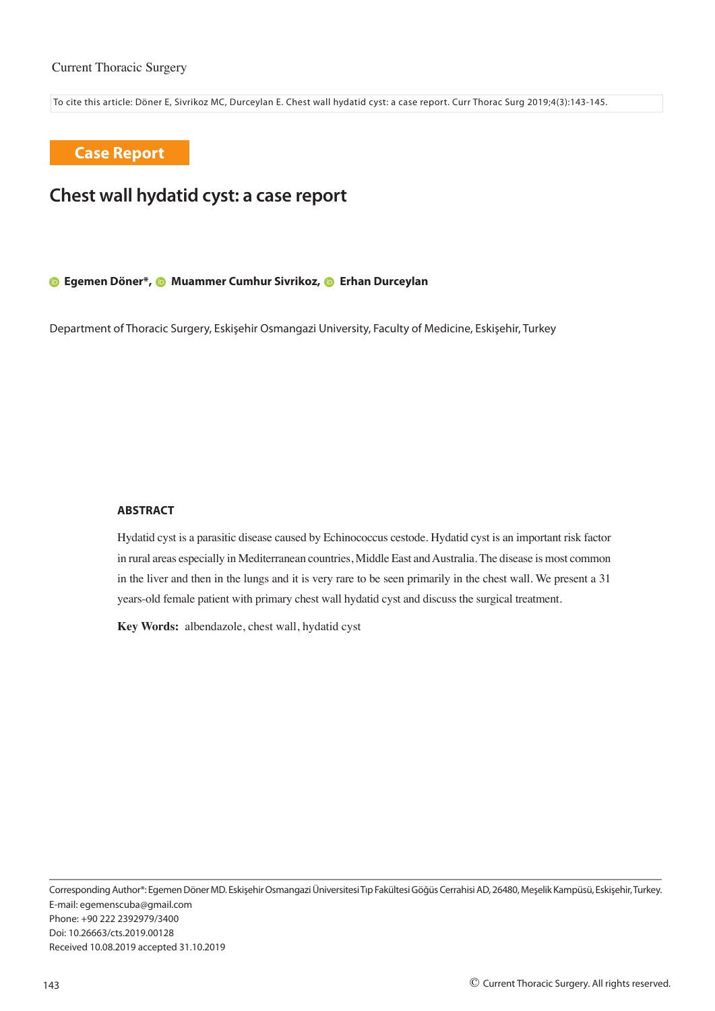#### Current Thoracic Surgery

To cite this article: Döner E, Sivrikoz MC, Durceylan E. Chest wall hydatid cyst: a case report. Curr Thorac Surg 2019;4(3):143-145.

**Case Report**

# **Chest wall hydatid cyst: a case report**

 $\bullet$ **Egemen Döner\*,**  $\bullet$  **Muammer Cumhur Sivrikoz,**  $\bullet$  **Erhan Durceylan** 

Department of Thoracic Surgery, Eskişehir Osmangazi University, Faculty of Medicine, Eskişehir, Turkey

### **ABSTRACT**

Hydatid cyst is a parasitic disease caused by Echinococcus cestode. Hydatid cyst is an important risk factor in rural areas especially in Mediterranean countries, Middle East and Australia. The disease is most common in the liver and then in the lungs and it is very rare to be seen primarily in the chest wall. We present a 31 years-old female patient with primary chest wall hydatid cyst and discuss the surgical treatment.

**Key Words:** albendazole, chest wall, hydatid cyst

Corresponding Author\*: Egemen Döner MD. Eskişehir Osmangazi Üniversitesi Tıp Fakültesi Göğüs Cerrahisi AD, 26480, Meşelik Kampüsü, Eskişehir, Turkey. E-mail: egemenscuba@gmail.com Phone: +90 222 2392979/3400 Doi: 10.26663/cts.2019.00128 Received 10.08.2019 accepted 31.10.2019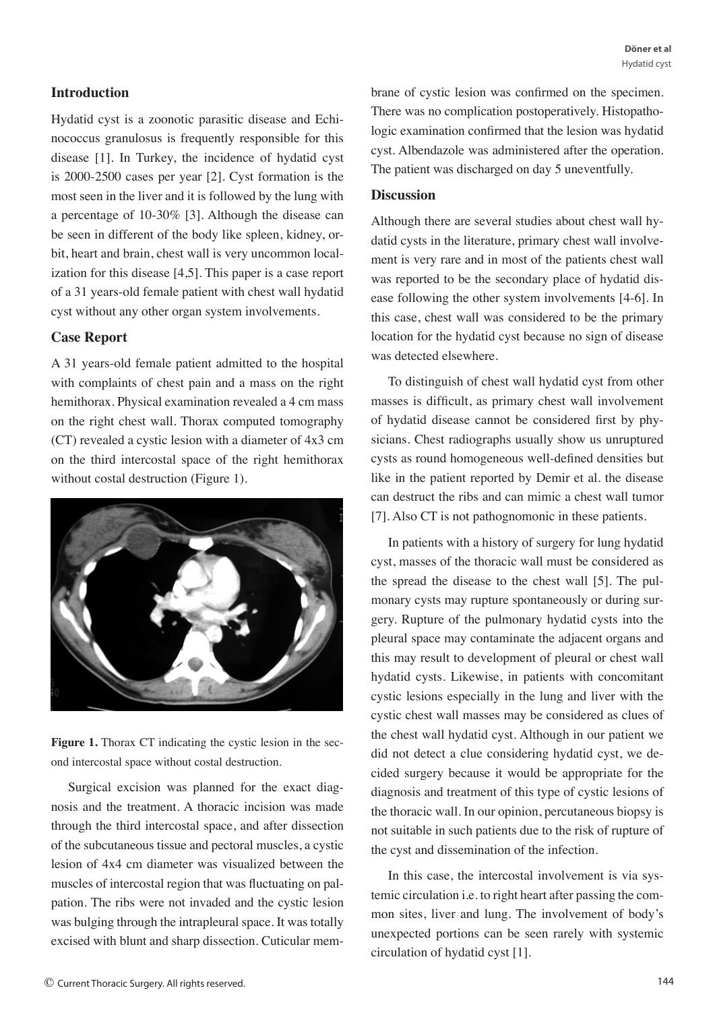# **Introduction**

Hydatid cyst is a zoonotic parasitic disease and Echinococcus granulosus is frequently responsible for this disease [1]. In Turkey, the incidence of hydatid cyst is 2000-2500 cases per year [2]. Cyst formation is the most seen in the liver and it is followed by the lung with a percentage of 10-30% [3]. Although the disease can be seen in different of the body like spleen, kidney, orbit, heart and brain, chest wall is very uncommon localization for this disease [4,5]. This paper is a case report of a 31 years-old female patient with chest wall hydatid cyst without any other organ system involvements.

### **Case Report**

A 31 years-old female patient admitted to the hospital with complaints of chest pain and a mass on the right hemithorax. Physical examination revealed a 4 cm mass on the right chest wall. Thorax computed tomography (CT) revealed a cystic lesion with a diameter of 4x3 cm on the third intercostal space of the right hemithorax without costal destruction (Figure 1).



Figure 1. Thorax CT indicating the cystic lesion in the second intercostal space without costal destruction.

Surgical excision was planned for the exact diagnosis and the treatment. A thoracic incision was made through the third intercostal space, and after dissection of the subcutaneous tissue and pectoral muscles, a cystic lesion of 4x4 cm diameter was visualized between the muscles of intercostal region that was fluctuating on palpation. The ribs were not invaded and the cystic lesion was bulging through the intrapleural space. It was totally excised with blunt and sharp dissection. Cuticular mem-

brane of cystic lesion was confirmed on the specimen. There was no complication postoperatively. Histopathologic examination confirmed that the lesion was hydatid cyst. Albendazole was administered after the operation. The patient was discharged on day 5 uneventfully.

### **Discussion**

Although there are several studies about chest wall hydatid cysts in the literature, primary chest wall involvement is very rare and in most of the patients chest wall was reported to be the secondary place of hydatid disease following the other system involvements [4-6]. In this case, chest wall was considered to be the primary location for the hydatid cyst because no sign of disease was detected elsewhere.

To distinguish of chest wall hydatid cyst from other masses is difficult, as primary chest wall involvement of hydatid disease cannot be considered first by physicians. Chest radiographs usually show us unruptured cysts as round homogeneous well-defined densities but like in the patient reported by Demir et al. the disease can destruct the ribs and can mimic a chest wall tumor [7]. Also CT is not pathognomonic in these patients.

In patients with a history of surgery for lung hydatid cyst, masses of the thoracic wall must be considered as the spread the disease to the chest wall [5]. The pulmonary cysts may rupture spontaneously or during surgery. Rupture of the pulmonary hydatid cysts into the pleural space may contaminate the adjacent organs and this may result to development of pleural or chest wall hydatid cysts. Likewise, in patients with concomitant cystic lesions especially in the lung and liver with the cystic chest wall masses may be considered as clues of the chest wall hydatid cyst. Although in our patient we did not detect a clue considering hydatid cyst, we decided surgery because it would be appropriate for the diagnosis and treatment of this type of cystic lesions of the thoracic wall. In our opinion, percutaneous biopsy is not suitable in such patients due to the risk of rupture of the cyst and dissemination of the infection.

In this case, the intercostal involvement is via systemic circulation i.e. to right heart after passing the common sites, liver and lung. The involvement of body's unexpected portions can be seen rarely with systemic circulation of hydatid cyst [1].